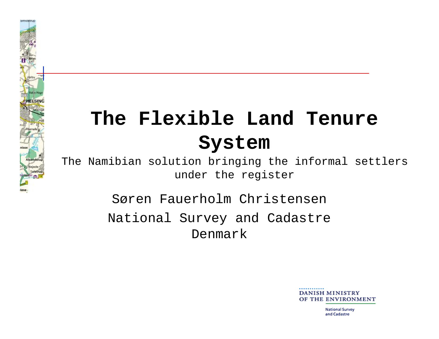#### **The Flexible Land Tenure System**

smidstrud

The Namibian solution bringing the informal settlers under the register

> Søren Fauerholm Christensen National Survey and Cadastre Denmark

> > ............ DANISH MINISTRY OF THE ENVIRONMENT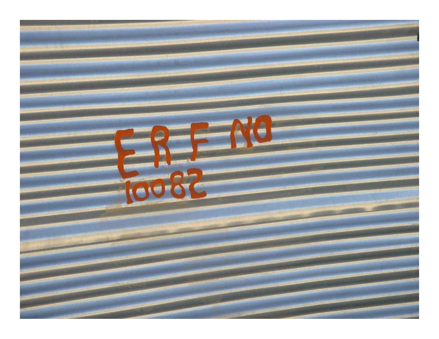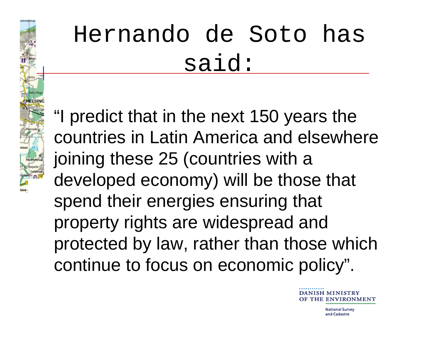# Hernando de Soto has said:

**STRICKER IF** 

"I predict that in the next 150 years the countries in Latin America and elsewhere joining these 25 (countries with a developed economy) will be those that spend their energies ensuring that property rights are widespread and protected by law, rather than those which continue to focus on economic policy".

> DANISH MINISTRY OF THE ENVIRONMENT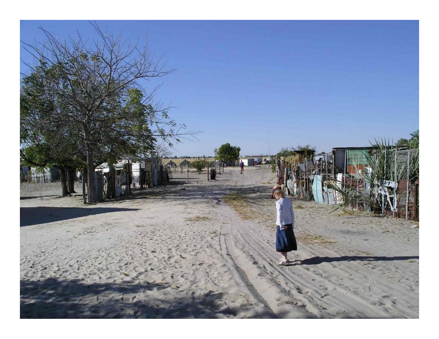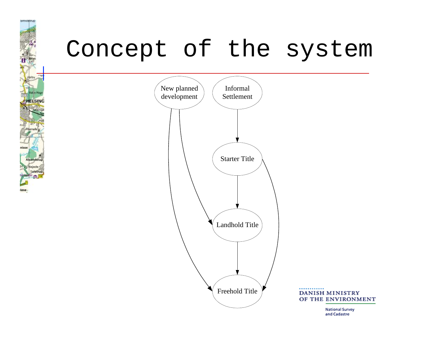

### Concept of the system

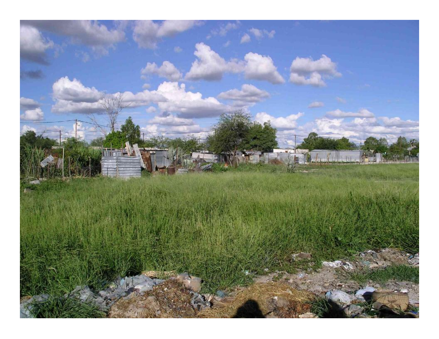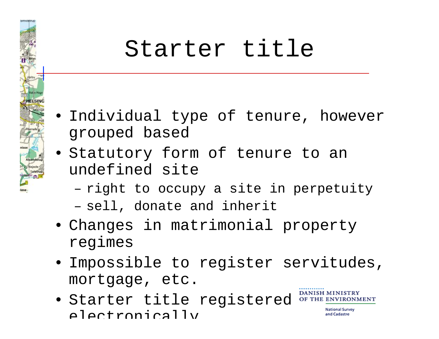## Starter title

- Individual type of tenure, however grouped based
- Statutory form of tenure to an undefined site
	- right to occupy a site in perpetuity
	- sell, donate and inherit
- Changes in matrimonial property regimes
- Impossible to register servitudes, mortgage, etc.
- Starter title registered OF THE ENVIRONM **National Survey** electronicallyand Cadactro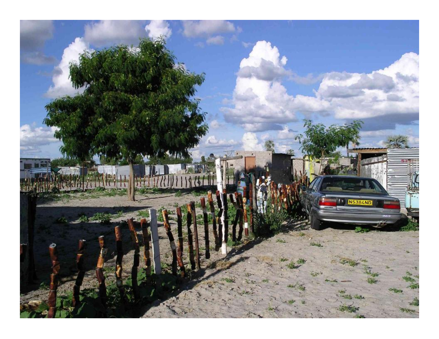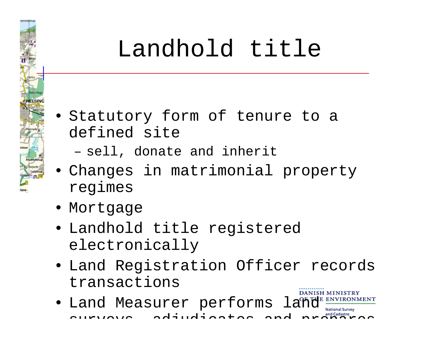## Landhold title

• Statutory form of tenure to a defined site

– sell, donate and inherit

- Changes in matrimonial property regimes
- Mortgage
- Landhold title registered electronically
- Land Registration Officer records transactions
- DANISH MINISTRY • Land Measurer performs lat surveys, adjudicates and prepares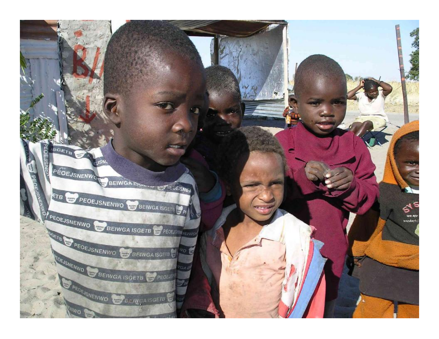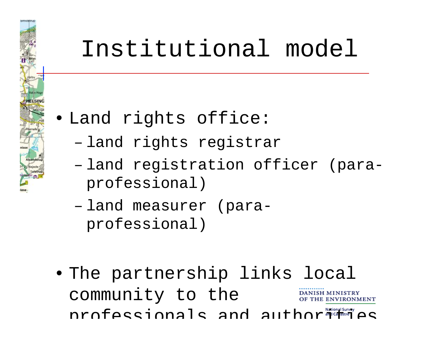

## Institutional model

- Land rights office:
	- land rights registrar
	- land registration officer (paraprofessional)
	- land measurer (paraprofessional)
- The partnership links local community to the DANISH MINISTRY OF THE ENVIRONMENT professionals and authorities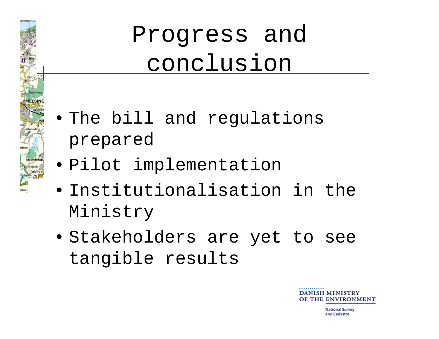Progress and conclusion

- The bill and regulations prepared
- Pilot implementation

**STRICKER IF** 

- Institutionalisation in the Ministry
- Stakeholders are yet to see tangible results

**\*\*\*\*\*\*\*\*\*\*\*\*** DANISH MINISTRY OF THE ENVIRONMENT